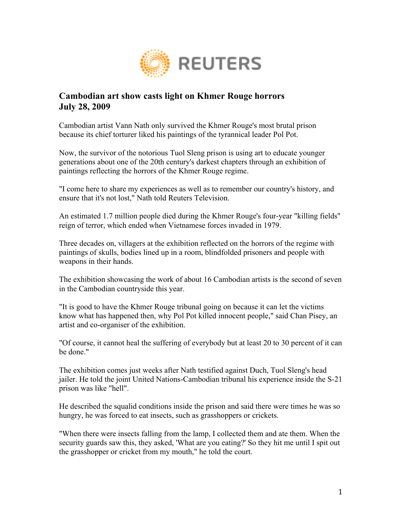

## **Cambodian art show casts light on Khmer Rouge horrors July 28, 2009**

Cambodian artist Vann Nath only survived the Khmer Rouge's most brutal prison because its chief torturer liked his paintings of the tyrannical leader Pol Pot.

Now, the survivor of the notorious Tuol Sleng prison is using art to educate younger generations about one of the 20th century's darkest chapters through an exhibition of paintings reflecting the horrors of the Khmer Rouge regime.

"I come here to share my experiences as well as to remember our country's history, and ensure that it's not lost," Nath told Reuters Television.

An estimated 1.7 million people died during the Khmer Rouge's four-year "killing fields" reign of terror, which ended when Vietnamese forces invaded in 1979.

Three decades on, villagers at the exhibition reflected on the horrors of the regime with paintings of skulls, bodies lined up in a room, blindfolded prisoners and people with weapons in their hands.

The exhibition showcasing the work of about 16 Cambodian artists is the second of seven in the Cambodian countryside this year.

"It is good to have the Khmer Rouge tribunal going on because it can let the victims know what has happened then, why Pol Pot killed innocent people," said Chan Pisey, an artist and co-organiser of the exhibition.

"Of course, it cannot heal the suffering of everybody but at least 20 to 30 percent of it can be done."

The exhibition comes just weeks after Nath testified against Duch, Tuol Sleng's head jailer. He told the joint United Nations-Cambodian tribunal his experience inside the S-21 prison was like "hell".

He described the squalid conditions inside the prison and said there were times he was so hungry, he was forced to eat insects, such as grasshoppers or crickets.

"When there were insects falling from the lamp, I collected them and ate them. When the security guards saw this, they asked, 'What are you eating?' So they hit me until I spit out the grasshopper or cricket from my mouth," he told the court.